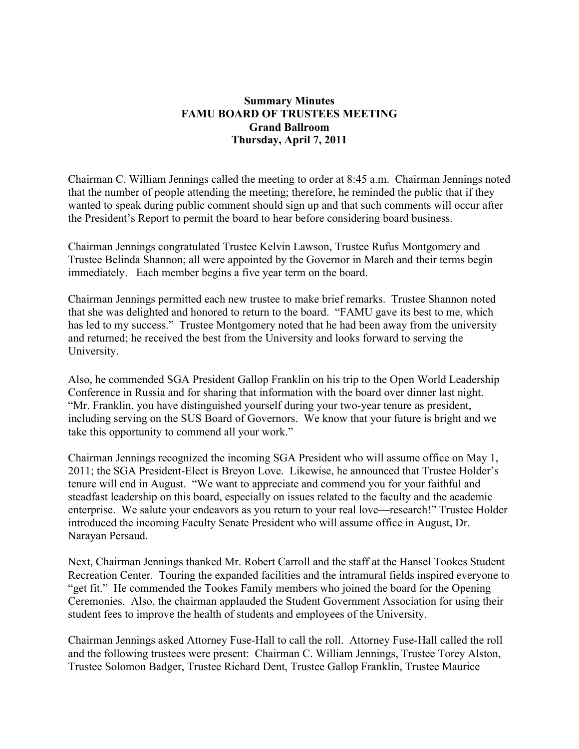### **Summary Minutes FAMU BOARD OF TRUSTEES MEETING Grand Ballroom Thursday, April 7, 2011**

Chairman C. William Jennings called the meeting to order at 8:45 a.m. Chairman Jennings noted that the number of people attending the meeting; therefore, he reminded the public that if they wanted to speak during public comment should sign up and that such comments will occur after the President's Report to permit the board to hear before considering board business.

Chairman Jennings congratulated Trustee Kelvin Lawson, Trustee Rufus Montgomery and Trustee Belinda Shannon; all were appointed by the Governor in March and their terms begin immediately. Each member begins a five year term on the board.

Chairman Jennings permitted each new trustee to make brief remarks. Trustee Shannon noted that she was delighted and honored to return to the board. "FAMU gave its best to me, which has led to my success." Trustee Montgomery noted that he had been away from the university and returned; he received the best from the University and looks forward to serving the University.

Also, he commended SGA President Gallop Franklin on his trip to the Open World Leadership Conference in Russia and for sharing that information with the board over dinner last night. "Mr. Franklin, you have distinguished yourself during your two-year tenure as president, including serving on the SUS Board of Governors. We know that your future is bright and we take this opportunity to commend all your work."

Chairman Jennings recognized the incoming SGA President who will assume office on May 1, 2011; the SGA President-Elect is Breyon Love. Likewise, he announced that Trustee Holder's tenure will end in August. "We want to appreciate and commend you for your faithful and steadfast leadership on this board, especially on issues related to the faculty and the academic enterprise. We salute your endeavors as you return to your real love—research!" Trustee Holder introduced the incoming Faculty Senate President who will assume office in August, Dr. Narayan Persaud.

Next, Chairman Jennings thanked Mr. Robert Carroll and the staff at the Hansel Tookes Student Recreation Center. Touring the expanded facilities and the intramural fields inspired everyone to "get fit." He commended the Tookes Family members who joined the board for the Opening Ceremonies. Also, the chairman applauded the Student Government Association for using their student fees to improve the health of students and employees of the University.

Chairman Jennings asked Attorney Fuse-Hall to call the roll. Attorney Fuse-Hall called the roll and the following trustees were present: Chairman C. William Jennings, Trustee Torey Alston, Trustee Solomon Badger, Trustee Richard Dent, Trustee Gallop Franklin, Trustee Maurice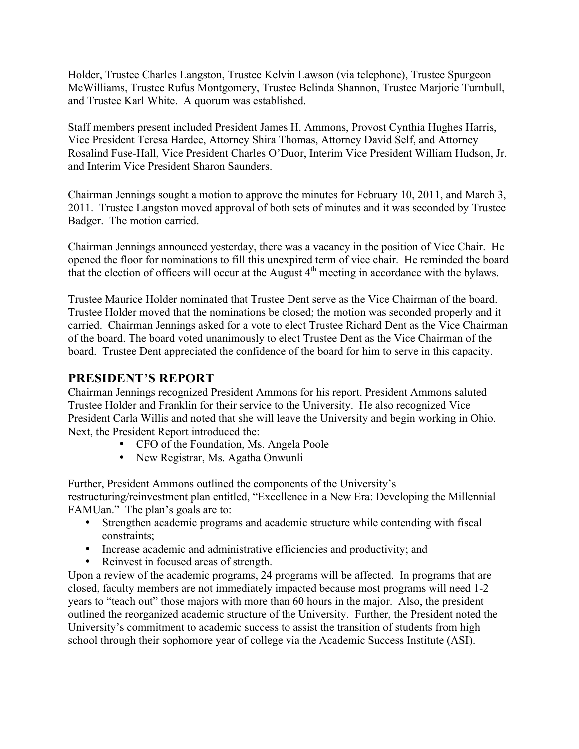Holder, Trustee Charles Langston, Trustee Kelvin Lawson (via telephone), Trustee Spurgeon McWilliams, Trustee Rufus Montgomery, Trustee Belinda Shannon, Trustee Marjorie Turnbull, and Trustee Karl White. A quorum was established.

Staff members present included President James H. Ammons, Provost Cynthia Hughes Harris, Vice President Teresa Hardee, Attorney Shira Thomas, Attorney David Self, and Attorney Rosalind Fuse-Hall, Vice President Charles O'Duor, Interim Vice President William Hudson, Jr. and Interim Vice President Sharon Saunders.

Chairman Jennings sought a motion to approve the minutes for February 10, 2011, and March 3, 2011. Trustee Langston moved approval of both sets of minutes and it was seconded by Trustee Badger. The motion carried.

Chairman Jennings announced yesterday, there was a vacancy in the position of Vice Chair. He opened the floor for nominations to fill this unexpired term of vice chair. He reminded the board that the election of officers will occur at the August  $4<sup>th</sup>$  meeting in accordance with the bylaws.

Trustee Maurice Holder nominated that Trustee Dent serve as the Vice Chairman of the board. Trustee Holder moved that the nominations be closed; the motion was seconded properly and it carried. Chairman Jennings asked for a vote to elect Trustee Richard Dent as the Vice Chairman of the board. The board voted unanimously to elect Trustee Dent as the Vice Chairman of the board. Trustee Dent appreciated the confidence of the board for him to serve in this capacity.

# **PRESIDENT'S REPORT**

Chairman Jennings recognized President Ammons for his report. President Ammons saluted Trustee Holder and Franklin for their service to the University. He also recognized Vice President Carla Willis and noted that she will leave the University and begin working in Ohio. Next, the President Report introduced the:

- CFO of the Foundation, Ms. Angela Poole
- New Registrar, Ms. Agatha Onwunli

Further, President Ammons outlined the components of the University's restructuring/reinvestment plan entitled, "Excellence in a New Era: Developing the Millennial FAMUan." The plan's goals are to:

- Strengthen academic programs and academic structure while contending with fiscal constraints;
- Increase academic and administrative efficiencies and productivity; and
- Reinvest in focused areas of strength.

Upon a review of the academic programs, 24 programs will be affected. In programs that are closed, faculty members are not immediately impacted because most programs will need 1-2 years to "teach out" those majors with more than 60 hours in the major. Also, the president outlined the reorganized academic structure of the University. Further, the President noted the University's commitment to academic success to assist the transition of students from high school through their sophomore year of college via the Academic Success Institute (ASI).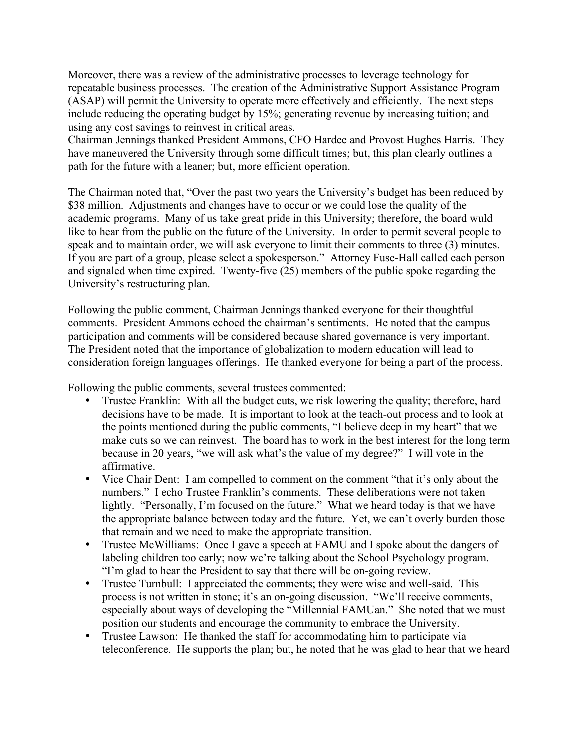Moreover, there was a review of the administrative processes to leverage technology for repeatable business processes. The creation of the Administrative Support Assistance Program (ASAP) will permit the University to operate more effectively and efficiently. The next steps include reducing the operating budget by 15%; generating revenue by increasing tuition; and using any cost savings to reinvest in critical areas.

Chairman Jennings thanked President Ammons, CFO Hardee and Provost Hughes Harris. They have maneuvered the University through some difficult times; but, this plan clearly outlines a path for the future with a leaner; but, more efficient operation.

The Chairman noted that, "Over the past two years the University's budget has been reduced by \$38 million. Adjustments and changes have to occur or we could lose the quality of the academic programs. Many of us take great pride in this University; therefore, the board wuld like to hear from the public on the future of the University. In order to permit several people to speak and to maintain order, we will ask everyone to limit their comments to three (3) minutes. If you are part of a group, please select a spokesperson." Attorney Fuse-Hall called each person and signaled when time expired. Twenty-five (25) members of the public spoke regarding the University's restructuring plan.

Following the public comment, Chairman Jennings thanked everyone for their thoughtful comments. President Ammons echoed the chairman's sentiments. He noted that the campus participation and comments will be considered because shared governance is very important. The President noted that the importance of globalization to modern education will lead to consideration foreign languages offerings. He thanked everyone for being a part of the process.

Following the public comments, several trustees commented:

- Trustee Franklin: With all the budget cuts, we risk lowering the quality; therefore, hard decisions have to be made. It is important to look at the teach-out process and to look at the points mentioned during the public comments, "I believe deep in my heart" that we make cuts so we can reinvest. The board has to work in the best interest for the long term because in 20 years, "we will ask what's the value of my degree?" I will vote in the affirmative.
- Vice Chair Dent: I am compelled to comment on the comment "that it's only about the numbers." I echo Trustee Franklin's comments. These deliberations were not taken lightly. "Personally, I'm focused on the future." What we heard today is that we have the appropriate balance between today and the future. Yet, we can't overly burden those that remain and we need to make the appropriate transition.
- Trustee McWilliams: Once I gave a speech at FAMU and I spoke about the dangers of labeling children too early; now we're talking about the School Psychology program. "I'm glad to hear the President to say that there will be on-going review.
- Trustee Turnbull: I appreciated the comments; they were wise and well-said. This process is not written in stone; it's an on-going discussion. "We'll receive comments, especially about ways of developing the "Millennial FAMUan." She noted that we must position our students and encourage the community to embrace the University.
- Trustee Lawson: He thanked the staff for accommodating him to participate via teleconference. He supports the plan; but, he noted that he was glad to hear that we heard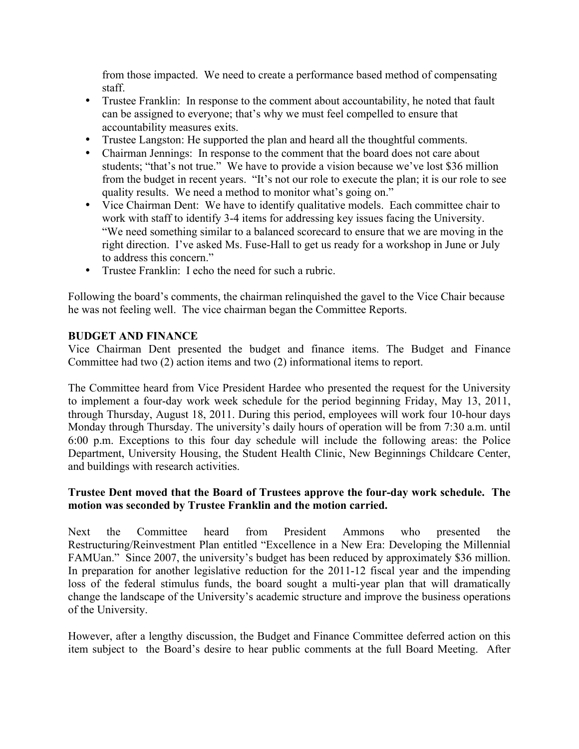from those impacted. We need to create a performance based method of compensating staff.

- Trustee Franklin: In response to the comment about accountability, he noted that fault can be assigned to everyone; that's why we must feel compelled to ensure that accountability measures exits.
- Trustee Langston: He supported the plan and heard all the thoughtful comments.
- Chairman Jennings: In response to the comment that the board does not care about students; "that's not true." We have to provide a vision because we've lost \$36 million from the budget in recent years. "It's not our role to execute the plan; it is our role to see quality results. We need a method to monitor what's going on."
- Vice Chairman Dent: We have to identify qualitative models. Each committee chair to work with staff to identify 3-4 items for addressing key issues facing the University. "We need something similar to a balanced scorecard to ensure that we are moving in the right direction. I've asked Ms. Fuse-Hall to get us ready for a workshop in June or July to address this concern."
- Trustee Franklin: I echo the need for such a rubric.

Following the board's comments, the chairman relinquished the gavel to the Vice Chair because he was not feeling well. The vice chairman began the Committee Reports.

### **BUDGET AND FINANCE**

Vice Chairman Dent presented the budget and finance items. The Budget and Finance Committee had two (2) action items and two (2) informational items to report.

The Committee heard from Vice President Hardee who presented the request for the University to implement a four-day work week schedule for the period beginning Friday, May 13, 2011, through Thursday, August 18, 2011. During this period, employees will work four 10-hour days Monday through Thursday. The university's daily hours of operation will be from 7:30 a.m. until 6:00 p.m. Exceptions to this four day schedule will include the following areas: the Police Department, University Housing, the Student Health Clinic, New Beginnings Childcare Center, and buildings with research activities.

#### **Trustee Dent moved that the Board of Trustees approve the four-day work schedule. The motion was seconded by Trustee Franklin and the motion carried.**

Next the Committee heard from President Ammons who presented the Restructuring/Reinvestment Plan entitled "Excellence in a New Era: Developing the Millennial FAMUan." Since 2007, the university's budget has been reduced by approximately \$36 million. In preparation for another legislative reduction for the 2011-12 fiscal year and the impending loss of the federal stimulus funds, the board sought a multi-year plan that will dramatically change the landscape of the University's academic structure and improve the business operations of the University.

However, after a lengthy discussion, the Budget and Finance Committee deferred action on this item subject to the Board's desire to hear public comments at the full Board Meeting. After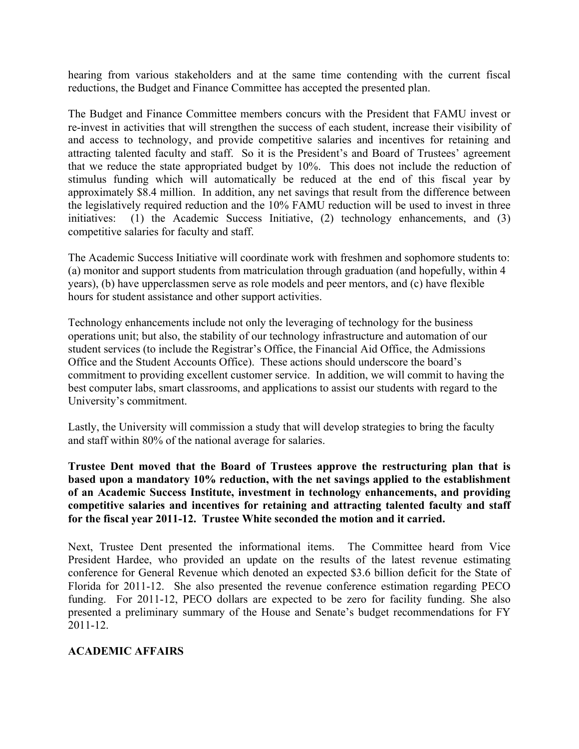hearing from various stakeholders and at the same time contending with the current fiscal reductions, the Budget and Finance Committee has accepted the presented plan.

The Budget and Finance Committee members concurs with the President that FAMU invest or re-invest in activities that will strengthen the success of each student, increase their visibility of and access to technology, and provide competitive salaries and incentives for retaining and attracting talented faculty and staff. So it is the President's and Board of Trustees' agreement that we reduce the state appropriated budget by 10%. This does not include the reduction of stimulus funding which will automatically be reduced at the end of this fiscal year by approximately \$8.4 million. In addition, any net savings that result from the difference between the legislatively required reduction and the 10% FAMU reduction will be used to invest in three initiatives: (1) the Academic Success Initiative, (2) technology enhancements, and (3) competitive salaries for faculty and staff.

The Academic Success Initiative will coordinate work with freshmen and sophomore students to: (a) monitor and support students from matriculation through graduation (and hopefully, within 4 years), (b) have upperclassmen serve as role models and peer mentors, and (c) have flexible hours for student assistance and other support activities.

Technology enhancements include not only the leveraging of technology for the business operations unit; but also, the stability of our technology infrastructure and automation of our student services (to include the Registrar's Office, the Financial Aid Office, the Admissions Office and the Student Accounts Office). These actions should underscore the board's commitment to providing excellent customer service. In addition, we will commit to having the best computer labs, smart classrooms, and applications to assist our students with regard to the University's commitment.

Lastly, the University will commission a study that will develop strategies to bring the faculty and staff within 80% of the national average for salaries.

**Trustee Dent moved that the Board of Trustees approve the restructuring plan that is based upon a mandatory 10% reduction, with the net savings applied to the establishment of an Academic Success Institute, investment in technology enhancements, and providing competitive salaries and incentives for retaining and attracting talented faculty and staff for the fiscal year 2011-12. Trustee White seconded the motion and it carried.**

Next, Trustee Dent presented the informational items. The Committee heard from Vice President Hardee, who provided an update on the results of the latest revenue estimating conference for General Revenue which denoted an expected \$3.6 billion deficit for the State of Florida for 2011-12. She also presented the revenue conference estimation regarding PECO funding. For 2011-12, PECO dollars are expected to be zero for facility funding. She also presented a preliminary summary of the House and Senate's budget recommendations for FY 2011-12.

### **ACADEMIC AFFAIRS**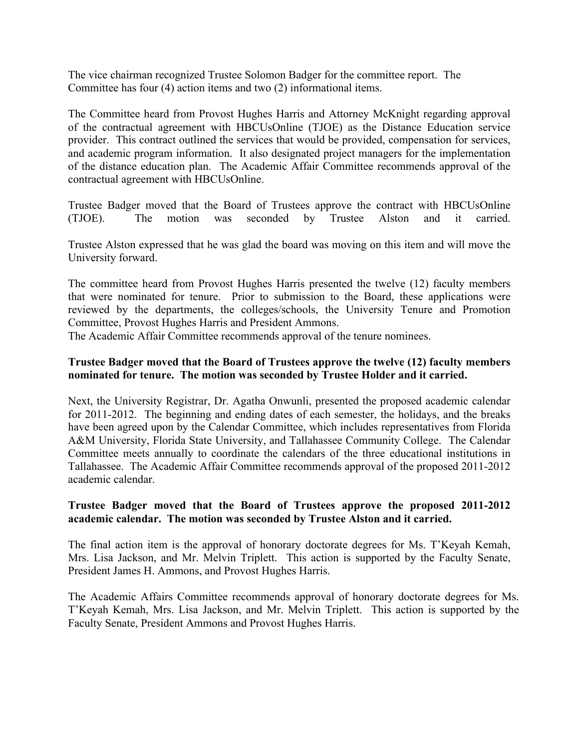The vice chairman recognized Trustee Solomon Badger for the committee report. The Committee has four (4) action items and two (2) informational items.

The Committee heard from Provost Hughes Harris and Attorney McKnight regarding approval of the contractual agreement with HBCUsOnline (TJOE) as the Distance Education service provider. This contract outlined the services that would be provided, compensation for services, and academic program information. It also designated project managers for the implementation of the distance education plan. The Academic Affair Committee recommends approval of the contractual agreement with HBCUsOnline.

Trustee Badger moved that the Board of Trustees approve the contract with HBCUsOnline (TJOE). The motion was seconded by Trustee Alston and it carried.

Trustee Alston expressed that he was glad the board was moving on this item and will move the University forward.

The committee heard from Provost Hughes Harris presented the twelve (12) faculty members that were nominated for tenure. Prior to submission to the Board, these applications were reviewed by the departments, the colleges/schools, the University Tenure and Promotion Committee, Provost Hughes Harris and President Ammons.

The Academic Affair Committee recommends approval of the tenure nominees.

#### **Trustee Badger moved that the Board of Trustees approve the twelve (12) faculty members nominated for tenure. The motion was seconded by Trustee Holder and it carried.**

Next, the University Registrar, Dr. Agatha Onwunli, presented the proposed academic calendar for 2011-2012. The beginning and ending dates of each semester, the holidays, and the breaks have been agreed upon by the Calendar Committee, which includes representatives from Florida A&M University, Florida State University, and Tallahassee Community College. The Calendar Committee meets annually to coordinate the calendars of the three educational institutions in Tallahassee. The Academic Affair Committee recommends approval of the proposed 2011-2012 academic calendar.

#### **Trustee Badger moved that the Board of Trustees approve the proposed 2011-2012 academic calendar. The motion was seconded by Trustee Alston and it carried.**

The final action item is the approval of honorary doctorate degrees for Ms. T'Keyah Kemah, Mrs. Lisa Jackson, and Mr. Melvin Triplett. This action is supported by the Faculty Senate, President James H. Ammons, and Provost Hughes Harris.

The Academic Affairs Committee recommends approval of honorary doctorate degrees for Ms. T'Keyah Kemah, Mrs. Lisa Jackson, and Mr. Melvin Triplett. This action is supported by the Faculty Senate, President Ammons and Provost Hughes Harris.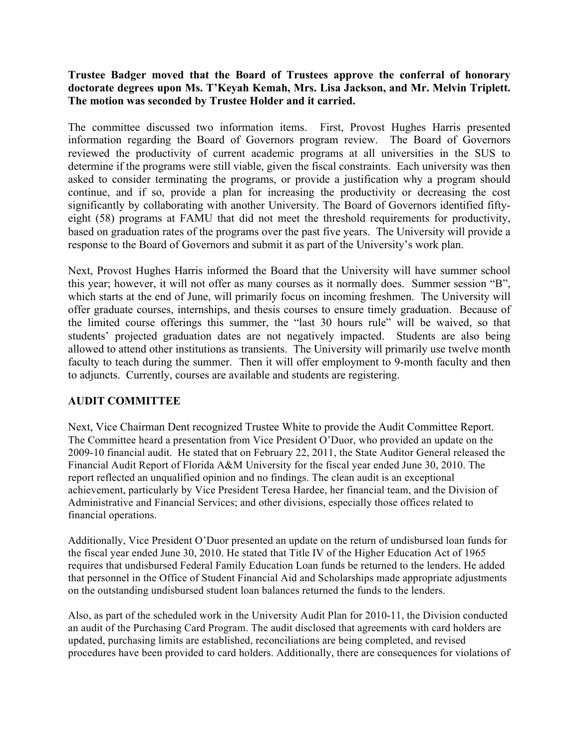### **Trustee Badger moved that the Board of Trustees approve the conferral of honorary doctorate degrees upon Ms. T'Keyah Kemah, Mrs. Lisa Jackson, and Mr. Melvin Triplett. The motion was seconded by Trustee Holder and it carried.**

The committee discussed two information items. First, Provost Hughes Harris presented information regarding the Board of Governors program review. The Board of Governors reviewed the productivity of current academic programs at all universities in the SUS to determine if the programs were still viable, given the fiscal constraints. Each university was then asked to consider terminating the programs, or provide a justification why a program should continue, and if so, provide a plan for increasing the productivity or decreasing the cost significantly by collaborating with another University. The Board of Governors identified fiftyeight (58) programs at FAMU that did not meet the threshold requirements for productivity, based on graduation rates of the programs over the past five years. The University will provide a response to the Board of Governors and submit it as part of the University's work plan.

Next, Provost Hughes Harris informed the Board that the University will have summer school this year; however, it will not offer as many courses as it normally does. Summer session "B", which starts at the end of June, will primarily focus on incoming freshmen. The University will offer graduate courses, internships, and thesis courses to ensure timely graduation. Because of the limited course offerings this summer, the "last 30 hours rule" will be waived, so that students' projected graduation dates are not negatively impacted. Students are also being allowed to attend other institutions as transients. The University will primarily use twelve month faculty to teach during the summer. Then it will offer employment to 9-month faculty and then to adjuncts. Currently, courses are available and students are registering.

# **AUDIT COMMITTEE**

Next, Vice Chairman Dent recognized Trustee White to provide the Audit Committee Report. The Committee heard a presentation from Vice President O'Duor, who provided an update on the 2009-10 financial audit. He stated that on February 22, 2011, the State Auditor General released the Financial Audit Report of Florida A&M University for the fiscal year ended June 30, 2010. The report reflected an unqualified opinion and no findings. The clean audit is an exceptional achievement, particularly by Vice President Teresa Hardee, her financial team, and the Division of Administrative and Financial Services; and other divisions, especially those offices related to financial operations.

Additionally, Vice President O'Duor presented an update on the return of undisbursed loan funds for the fiscal year ended June 30, 2010. He stated that Title IV of the Higher Education Act of 1965 requires that undisbursed Federal Family Education Loan funds be returned to the lenders. He added that personnel in the Office of Student Financial Aid and Scholarships made appropriate adjustments on the outstanding undisbursed student loan balances returned the funds to the lenders.

Also, as part of the scheduled work in the University Audit Plan for 2010-11, the Division conducted an audit of the Purchasing Card Program. The audit disclosed that agreements with card holders are updated, purchasing limits are established, reconciliations are being completed, and revised procedures have been provided to card holders. Additionally, there are consequences for violations of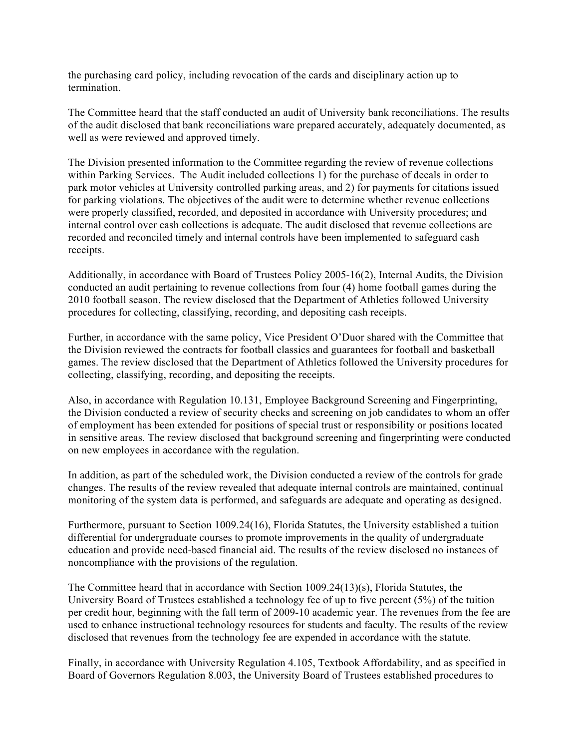the purchasing card policy, including revocation of the cards and disciplinary action up to termination.

The Committee heard that the staff conducted an audit of University bank reconciliations. The results of the audit disclosed that bank reconciliations ware prepared accurately, adequately documented, as well as were reviewed and approved timely.

The Division presented information to the Committee regarding the review of revenue collections within Parking Services. The Audit included collections 1) for the purchase of decals in order to park motor vehicles at University controlled parking areas, and 2) for payments for citations issued for parking violations. The objectives of the audit were to determine whether revenue collections were properly classified, recorded, and deposited in accordance with University procedures; and internal control over cash collections is adequate. The audit disclosed that revenue collections are recorded and reconciled timely and internal controls have been implemented to safeguard cash receipts.

Additionally, in accordance with Board of Trustees Policy 2005-16(2), Internal Audits, the Division conducted an audit pertaining to revenue collections from four (4) home football games during the 2010 football season. The review disclosed that the Department of Athletics followed University procedures for collecting, classifying, recording, and depositing cash receipts.

Further, in accordance with the same policy, Vice President O'Duor shared with the Committee that the Division reviewed the contracts for football classics and guarantees for football and basketball games. The review disclosed that the Department of Athletics followed the University procedures for collecting, classifying, recording, and depositing the receipts.

Also, in accordance with Regulation 10.131, Employee Background Screening and Fingerprinting, the Division conducted a review of security checks and screening on job candidates to whom an offer of employment has been extended for positions of special trust or responsibility or positions located in sensitive areas. The review disclosed that background screening and fingerprinting were conducted on new employees in accordance with the regulation.

In addition, as part of the scheduled work, the Division conducted a review of the controls for grade changes. The results of the review revealed that adequate internal controls are maintained, continual monitoring of the system data is performed, and safeguards are adequate and operating as designed.

Furthermore, pursuant to Section 1009.24(16), Florida Statutes, the University established a tuition differential for undergraduate courses to promote improvements in the quality of undergraduate education and provide need-based financial aid. The results of the review disclosed no instances of noncompliance with the provisions of the regulation.

The Committee heard that in accordance with Section 1009.24(13)(s), Florida Statutes, the University Board of Trustees established a technology fee of up to five percent (5%) of the tuition per credit hour, beginning with the fall term of 2009-10 academic year. The revenues from the fee are used to enhance instructional technology resources for students and faculty. The results of the review disclosed that revenues from the technology fee are expended in accordance with the statute.

Finally, in accordance with University Regulation 4.105, Textbook Affordability, and as specified in Board of Governors Regulation 8.003, the University Board of Trustees established procedures to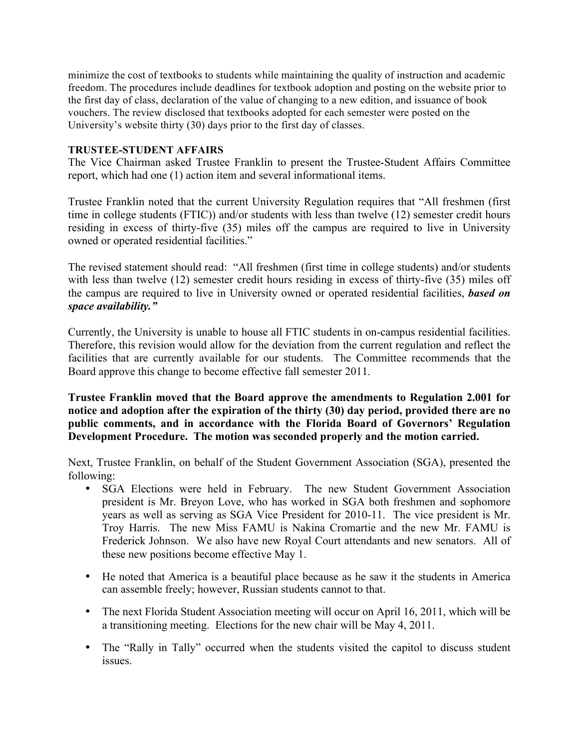minimize the cost of textbooks to students while maintaining the quality of instruction and academic freedom. The procedures include deadlines for textbook adoption and posting on the website prior to the first day of class, declaration of the value of changing to a new edition, and issuance of book vouchers. The review disclosed that textbooks adopted for each semester were posted on the University's website thirty (30) days prior to the first day of classes.

#### **TRUSTEE-STUDENT AFFAIRS**

The Vice Chairman asked Trustee Franklin to present the Trustee-Student Affairs Committee report, which had one (1) action item and several informational items.

Trustee Franklin noted that the current University Regulation requires that "All freshmen (first time in college students (FTIC)) and/or students with less than twelve (12) semester credit hours residing in excess of thirty-five (35) miles off the campus are required to live in University owned or operated residential facilities."

The revised statement should read: "All freshmen (first time in college students) and/or students with less than twelve (12) semester credit hours residing in excess of thirty-five (35) miles off the campus are required to live in University owned or operated residential facilities, *based on space availability."*

Currently, the University is unable to house all FTIC students in on-campus residential facilities. Therefore, this revision would allow for the deviation from the current regulation and reflect the facilities that are currently available for our students. The Committee recommends that the Board approve this change to become effective fall semester 2011.

**Trustee Franklin moved that the Board approve the amendments to Regulation 2.001 for notice and adoption after the expiration of the thirty (30) day period, provided there are no public comments, and in accordance with the Florida Board of Governors' Regulation Development Procedure. The motion was seconded properly and the motion carried.**

Next, Trustee Franklin, on behalf of the Student Government Association (SGA), presented the following:

- SGA Elections were held in February. The new Student Government Association president is Mr. Breyon Love, who has worked in SGA both freshmen and sophomore years as well as serving as SGA Vice President for 2010-11. The vice president is Mr. Troy Harris. The new Miss FAMU is Nakina Cromartie and the new Mr. FAMU is Frederick Johnson. We also have new Royal Court attendants and new senators. All of these new positions become effective May 1.
- He noted that America is a beautiful place because as he saw it the students in America can assemble freely; however, Russian students cannot to that.
- The next Florida Student Association meeting will occur on April 16, 2011, which will be a transitioning meeting. Elections for the new chair will be May 4, 2011.
- The "Rally in Tally" occurred when the students visited the capitol to discuss student issues.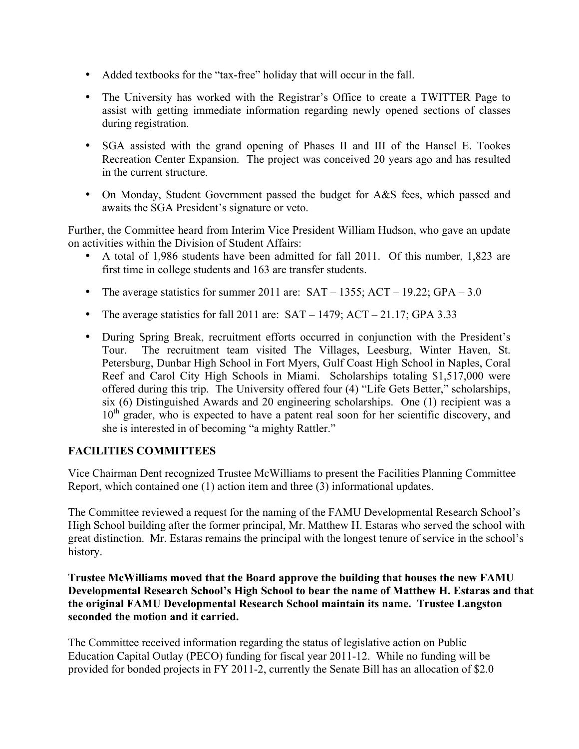- Added textbooks for the "tax-free" holiday that will occur in the fall.
- The University has worked with the Registrar's Office to create a TWITTER Page to assist with getting immediate information regarding newly opened sections of classes during registration.
- SGA assisted with the grand opening of Phases II and III of the Hansel E. Tookes Recreation Center Expansion. The project was conceived 20 years ago and has resulted in the current structure.
- On Monday, Student Government passed the budget for A&S fees, which passed and awaits the SGA President's signature or veto.

Further, the Committee heard from Interim Vice President William Hudson, who gave an update on activities within the Division of Student Affairs:

- A total of 1,986 students have been admitted for fall 2011. Of this number, 1,823 are first time in college students and 163 are transfer students.
- The average statistics for summer 2011 are:  $SAT 1355$ ;  $ACT 19.22$ ;  $GPA 3.0$
- The average statistics for fall 2011 are:  $SAT 1479$ ;  $ACT 21.17$ ; GPA 3.33
- During Spring Break, recruitment efforts occurred in conjunction with the President's The recruitment team visited The Villages, Leesburg, Winter Haven, St. Petersburg, Dunbar High School in Fort Myers, Gulf Coast High School in Naples, Coral Reef and Carol City High Schools in Miami. Scholarships totaling \$1,517,000 were offered during this trip. The University offered four (4) "Life Gets Better," scholarships, six (6) Distinguished Awards and 20 engineering scholarships. One (1) recipient was a  $10<sup>th</sup>$  grader, who is expected to have a patent real soon for her scientific discovery, and she is interested in of becoming "a mighty Rattler."

# **FACILITIES COMMITTEES**

Vice Chairman Dent recognized Trustee McWilliams to present the Facilities Planning Committee Report, which contained one (1) action item and three (3) informational updates.

The Committee reviewed a request for the naming of the FAMU Developmental Research School's High School building after the former principal, Mr. Matthew H. Estaras who served the school with great distinction. Mr. Estaras remains the principal with the longest tenure of service in the school's history.

**Trustee McWilliams moved that the Board approve the building that houses the new FAMU Developmental Research School's High School to bear the name of Matthew H. Estaras and that the original FAMU Developmental Research School maintain its name. Trustee Langston seconded the motion and it carried.**

The Committee received information regarding the status of legislative action on Public Education Capital Outlay (PECO) funding for fiscal year 2011-12. While no funding will be provided for bonded projects in FY 2011-2, currently the Senate Bill has an allocation of \$2.0